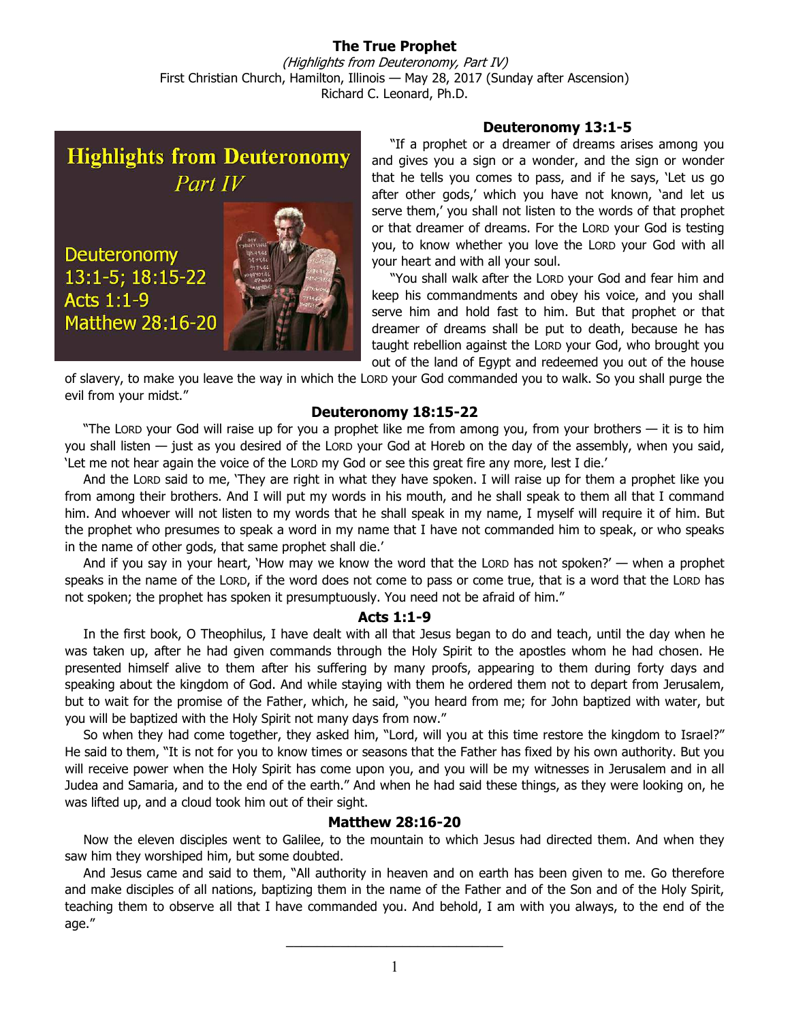**The True Prophet**  (Highlights from Deuteronomy, Part IV) First Christian Church, Hamilton, Illinois — May 28, 2017 (Sunday after Ascension) Richard C. Leonard, Ph.D.

**Highlights from Deuteronomy** Part IV

**Deuteronomy** 13:1-5; 18:15-22 **Acts 1:1-9 Matthew 28:16-20** 

## **Deuteronomy 13:1-5**

"If a prophet or a dreamer of dreams arises among you and gives you a sign or a wonder, and the sign or wonder that he tells you comes to pass, and if he says, 'Let us go after other gods,' which you have not known, 'and let us serve them,' you shall not listen to the words of that prophet or that dreamer of dreams. For the LORD your God is testing you, to know whether you love the LORD your God with all your heart and with all your soul.

"You shall walk after the LORD your God and fear him and keep his commandments and obey his voice, and you shall serve him and hold fast to him. But that prophet or that dreamer of dreams shall be put to death, because he has taught rebellion against the LORD your God, who brought you out of the land of Egypt and redeemed you out of the house

of slavery, to make you leave the way in which the LORD your God commanded you to walk. So you shall purge the evil from your midst."

### **Deuteronomy 18:15-22**

"The LORD your God will raise up for you a prophet like me from among you, from your brothers — it is to him you shall listen — just as you desired of the LORD your God at Horeb on the day of the assembly, when you said, 'Let me not hear again the voice of the LORD my God or see this great fire any more, lest I die.'

And the LORD said to me, 'They are right in what they have spoken. I will raise up for them a prophet like you from among their brothers. And I will put my words in his mouth, and he shall speak to them all that I command him. And whoever will not listen to my words that he shall speak in my name, I myself will require it of him. But the prophet who presumes to speak a word in my name that I have not commanded him to speak, or who speaks in the name of other gods, that same prophet shall die.'

And if you say in your heart, 'How may we know the word that the LORD has not spoken?' — when a prophet speaks in the name of the LORD, if the word does not come to pass or come true, that is a word that the LORD has not spoken; the prophet has spoken it presumptuously. You need not be afraid of him."

#### **Acts 1:1-9**

In the first book, O Theophilus, I have dealt with all that Jesus began to do and teach, until the day when he was taken up, after he had given commands through the Holy Spirit to the apostles whom he had chosen. He presented himself alive to them after his suffering by many proofs, appearing to them during forty days and speaking about the kingdom of God. And while staying with them he ordered them not to depart from Jerusalem, but to wait for the promise of the Father, which, he said, "you heard from me; for John baptized with water, but you will be baptized with the Holy Spirit not many days from now."

So when they had come together, they asked him, "Lord, will you at this time restore the kingdom to Israel?" He said to them, "It is not for you to know times or seasons that the Father has fixed by his own authority. But you will receive power when the Holy Spirit has come upon you, and you will be my witnesses in Jerusalem and in all Judea and Samaria, and to the end of the earth." And when he had said these things, as they were looking on, he was lifted up, and a cloud took him out of their sight.

## **Matthew 28:16-20**

Now the eleven disciples went to Galilee, to the mountain to which Jesus had directed them. And when they saw him they worshiped him, but some doubted.

And Jesus came and said to them, "All authority in heaven and on earth has been given to me. Go therefore and make disciples of all nations, baptizing them in the name of the Father and of the Son and of the Holy Spirit, teaching them to observe all that I have commanded you. And behold, I am with you always, to the end of the age."

 $\overline{\phantom{a}}$  , where  $\overline{\phantom{a}}$  , where  $\overline{\phantom{a}}$  , where  $\overline{\phantom{a}}$  , where  $\overline{\phantom{a}}$  , where  $\overline{\phantom{a}}$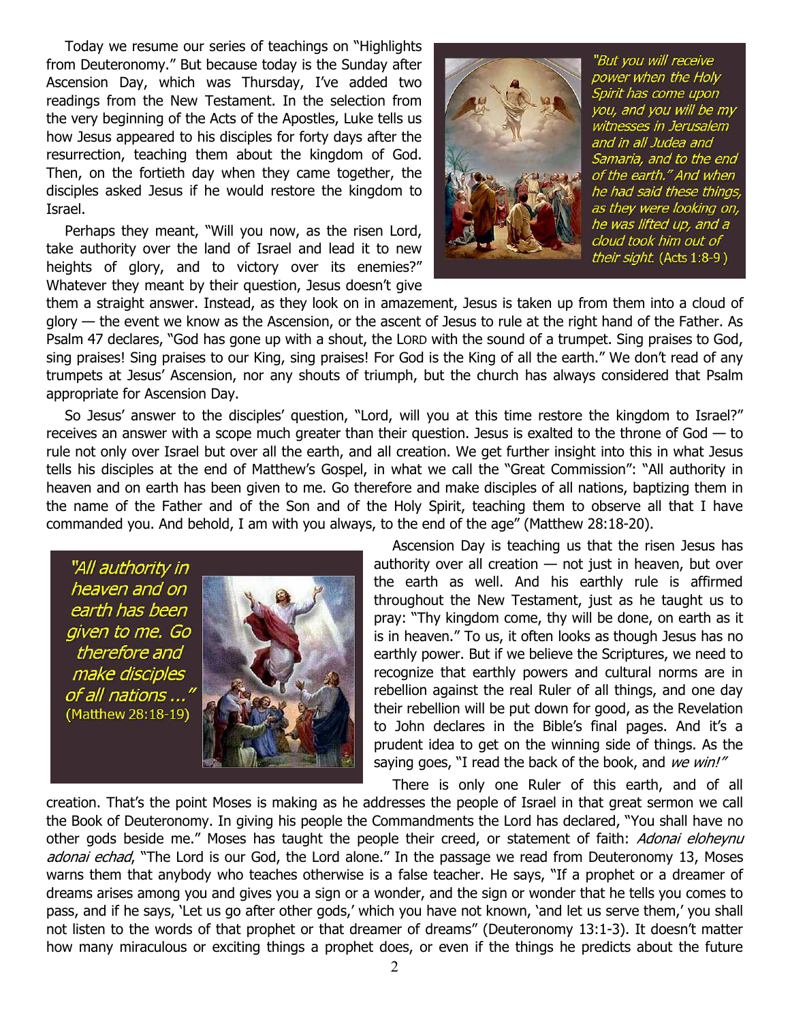Today we resume our series of teachings on "Highlights from Deuteronomy." But because today is the Sunday after Ascension Day, which was Thursday, I've added two readings from the New Testament. In the selection from the very beginning of the Acts of the Apostles, Luke tells us how Jesus appeared to his disciples for forty days after the resurrection, teaching them about the kingdom of God. Then, on the fortieth day when they came together, the disciples asked Jesus if he would restore the kingdom to Israel.

Perhaps they meant, "Will you now, as the risen Lord, take authority over the land of Israel and lead it to new heights of glory, and to victory over its enemies?" Whatever they meant by their question, Jesus doesn't give



"But you will receive power when the Holy Spirit has come upon you, and you will be my witnesses in Jerusalem and in all Judea and Samaria, and to the end of the earth." And when he had said these things, as they were looking on, he was lifted up, and a cloud took him out of their sight. (Acts 1:8-9)

them a straight answer. Instead, as they look on in amazement, Jesus is taken up from them into a cloud of glory — the event we know as the Ascension, or the ascent of Jesus to rule at the right hand of the Father. As Psalm 47 declares, "God has gone up with a shout, the LORD with the sound of a trumpet. Sing praises to God, sing praises! Sing praises to our King, sing praises! For God is the King of all the earth." We don't read of any trumpets at Jesus' Ascension, nor any shouts of triumph, but the church has always considered that Psalm appropriate for Ascension Day.

So Jesus' answer to the disciples' question, "Lord, will you at this time restore the kingdom to Israel?" receives an answer with a scope much greater than their question. Jesus is exalted to the throne of God — to rule not only over Israel but over all the earth, and all creation. We get further insight into this in what Jesus tells his disciples at the end of Matthew's Gospel, in what we call the "Great Commission": "All authority in heaven and on earth has been given to me. Go therefore and make disciples of all nations, baptizing them in the name of the Father and of the Son and of the Holy Spirit, teaching them to observe all that I have commanded you. And behold, I am with you always, to the end of the age" (Matthew 28:18-20).

"All authority in heaven and on earth has been given to me. Go therefore and make disciples of all nations ... (Matthew 28:18-19)



Ascension Day is teaching us that the risen Jesus has authority over all creation  $-$  not just in heaven, but over the earth as well. And his earthly rule is affirmed throughout the New Testament, just as he taught us to pray: "Thy kingdom come, thy will be done, on earth as it is in heaven." To us, it often looks as though Jesus has no earthly power. But if we believe the Scriptures, we need to recognize that earthly powers and cultural norms are in rebellion against the real Ruler of all things, and one day their rebellion will be put down for good, as the Revelation to John declares in the Bible's final pages. And it's a prudent idea to get on the winning side of things. As the saying goes, "I read the back of the book, and we win!"

There is only one Ruler of this earth, and of all creation. That's the point Moses is making as he addresses the people of Israel in that great sermon we call the Book of Deuteronomy. In giving his people the Commandments the Lord has declared, "You shall have no other gods beside me." Moses has taught the people their creed, or statement of faith: Adonai eloheynu adonai echad, "The Lord is our God, the Lord alone." In the passage we read from Deuteronomy 13, Moses warns them that anybody who teaches otherwise is a false teacher. He says, "If a prophet or a dreamer of dreams arises among you and gives you a sign or a wonder, and the sign or wonder that he tells you comes to pass, and if he says, 'Let us go after other gods,' which you have not known, 'and let us serve them,' you shall not listen to the words of that prophet or that dreamer of dreams" (Deuteronomy 13:1-3). It doesn't matter how many miraculous or exciting things a prophet does, or even if the things he predicts about the future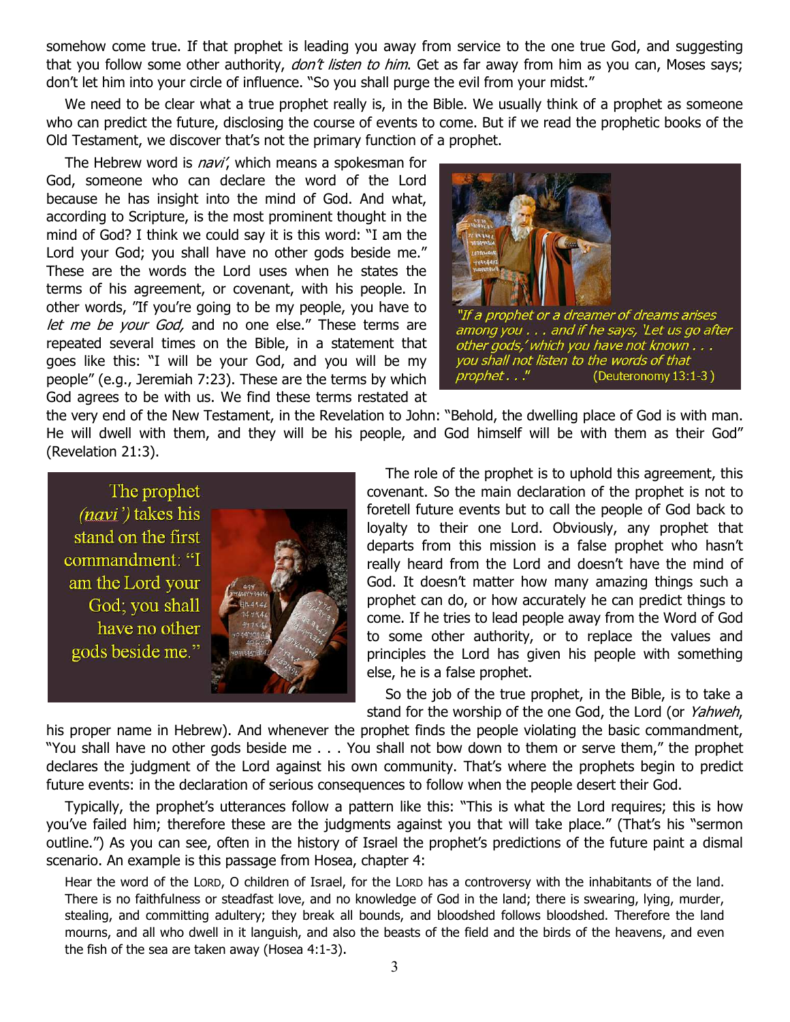somehow come true. If that prophet is leading you away from service to the one true God, and suggesting that you follow some other authority, *don't listen to him*. Get as far away from him as you can, Moses says; don't let him into your circle of influence. "So you shall purge the evil from your midst."

We need to be clear what a true prophet really is, in the Bible. We usually think of a prophet as someone who can predict the future, disclosing the course of events to come. But if we read the prophetic books of the Old Testament, we discover that's not the primary function of a prophet.

The Hebrew word is *navi'*, which means a spokesman for God, someone who can declare the word of the Lord because he has insight into the mind of God. And what, according to Scripture, is the most prominent thought in the mind of God? I think we could say it is this word: "I am the Lord your God; you shall have no other gods beside me." These are the words the Lord uses when he states the terms of his agreement, or covenant, with his people. In other words, "If you're going to be my people, you have to let me be your God, and no one else." These terms are repeated several times on the Bible, in a statement that goes like this: "I will be your God, and you will be my people" (e.g., Jeremiah 7:23). These are the terms by which God agrees to be with us. We find these terms restated at



the very end of the New Testament, in the Revelation to John: "Behold, the dwelling place of God is with man. He will dwell with them, and they will be his people, and God himself will be with them as their God" (Revelation 21:3).



The role of the prophet is to uphold this agreement, this covenant. So the main declaration of the prophet is not to foretell future events but to call the people of God back to loyalty to their one Lord. Obviously, any prophet that departs from this mission is a false prophet who hasn't really heard from the Lord and doesn't have the mind of God. It doesn't matter how many amazing things such a prophet can do, or how accurately he can predict things to come. If he tries to lead people away from the Word of God to some other authority, or to replace the values and principles the Lord has given his people with something else, he is a false prophet.

So the job of the true prophet, in the Bible, is to take a stand for the worship of the one God, the Lord (or Yahweh,

his proper name in Hebrew). And whenever the prophet finds the people violating the basic commandment, "You shall have no other gods beside me . . . You shall not bow down to them or serve them," the prophet declares the judgment of the Lord against his own community. That's where the prophets begin to predict future events: in the declaration of serious consequences to follow when the people desert their God.

Typically, the prophet's utterances follow a pattern like this: "This is what the Lord requires; this is how you've failed him; therefore these are the judgments against you that will take place." (That's his "sermon outline.") As you can see, often in the history of Israel the prophet's predictions of the future paint a dismal scenario. An example is this passage from Hosea, chapter 4:

Hear the word of the LORD, O children of Israel, for the LORD has a controversy with the inhabitants of the land. There is no faithfulness or steadfast love, and no knowledge of God in the land; there is swearing, lying, murder, stealing, and committing adultery; they break all bounds, and bloodshed follows bloodshed. Therefore the land mourns, and all who dwell in it languish, and also the beasts of the field and the birds of the heavens, and even the fish of the sea are taken away (Hosea 4:1-3).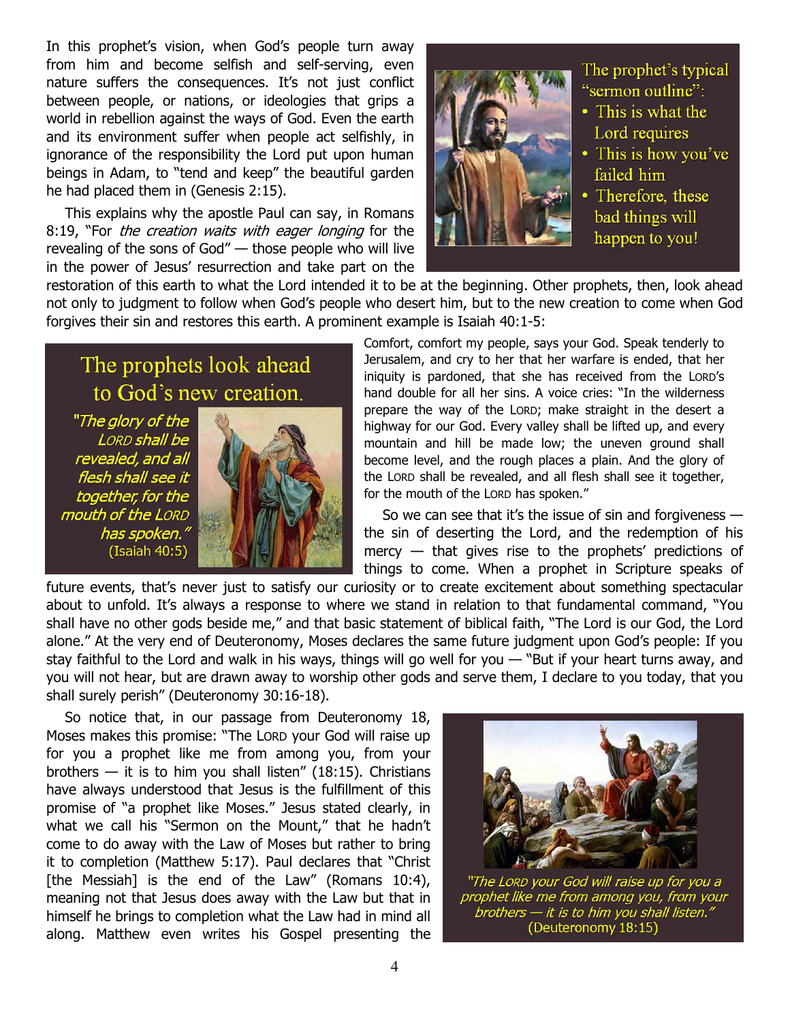In this prophet's vision, when God's people turn away from him and become selfish and self-serving, even nature suffers the consequences. It's not just conflict between people, or nations, or ideologies that grips a world in rebellion against the ways of God. Even the earth and its environment suffer when people act selfishly, in ignorance of the responsibility the Lord put upon human beings in Adam, to "tend and keep" the beautiful garden he had placed them in (Genesis 2:15).

This explains why the apostle Paul can say, in Romans 8:19, "For *the creation waits with eager longing* for the revealing of the sons of God" — those people who will live in the power of Jesus' resurrection and take part on the



The prophet's typical "sermon outline":

- This is what the Lord requires
- This is how you've failed him
- Therefore, these bad things will happen to you!

restoration of this earth to what the Lord intended it to be at the beginning. Other prophets, then, look ahead not only to judgment to follow when God's people who desert him, but to the new creation to come when God forgives their sin and restores this earth. A prominent example is Isaiah 40:1-5:

# The prophets look ahead to God's new creation.

"The glory of the LORD shall be revealed, and all flesh shall see it together, for the mouth of the LORD has spoken.' (Isaiah 40:5)



Comfort, comfort my people, says your God. Speak tenderly to Jerusalem, and cry to her that her warfare is ended, that her iniquity is pardoned, that she has received from the LORD's hand double for all her sins. A voice cries: "In the wilderness prepare the way of the LORD; make straight in the desert a highway for our God. Every valley shall be lifted up, and every mountain and hill be made low; the uneven ground shall become level, and the rough places a plain. And the glory of the LORD shall be revealed, and all flesh shall see it together, for the mouth of the LORD has spoken."

So we can see that it's the issue of sin and forgiveness the sin of deserting the Lord, and the redemption of his mercy — that gives rise to the prophets' predictions of things to come. When a prophet in Scripture speaks of

future events, that's never just to satisfy our curiosity or to create excitement about something spectacular about to unfold. It's always a response to where we stand in relation to that fundamental command, "You shall have no other gods beside me," and that basic statement of biblical faith, "The Lord is our God, the Lord alone." At the very end of Deuteronomy, Moses declares the same future judgment upon God's people: If you stay faithful to the Lord and walk in his ways, things will go well for you — "But if your heart turns away, and you will not hear, but are drawn away to worship other gods and serve them, I declare to you today, that you shall surely perish" (Deuteronomy 30:16-18).

So notice that, in our passage from Deuteronomy 18, Moses makes this promise: "The LORD your God will raise up for you a prophet like me from among you, from your brothers  $-$  it is to him you shall listen" (18:15). Christians have always understood that Jesus is the fulfillment of this promise of "a prophet like Moses." Jesus stated clearly, in what we call his "Sermon on the Mount," that he hadn't come to do away with the Law of Moses but rather to bring it to completion (Matthew 5:17). Paul declares that "Christ [the Messiah] is the end of the Law" (Romans 10:4), meaning not that Jesus does away with the Law but that in himself he brings to completion what the Law had in mind all along. Matthew even writes his Gospel presenting the



"The Lorp your God will raise up for you a prophet like me from among you, from your .<br>brothers — it is to him you shall listen.' (Deuteronomy 18:15)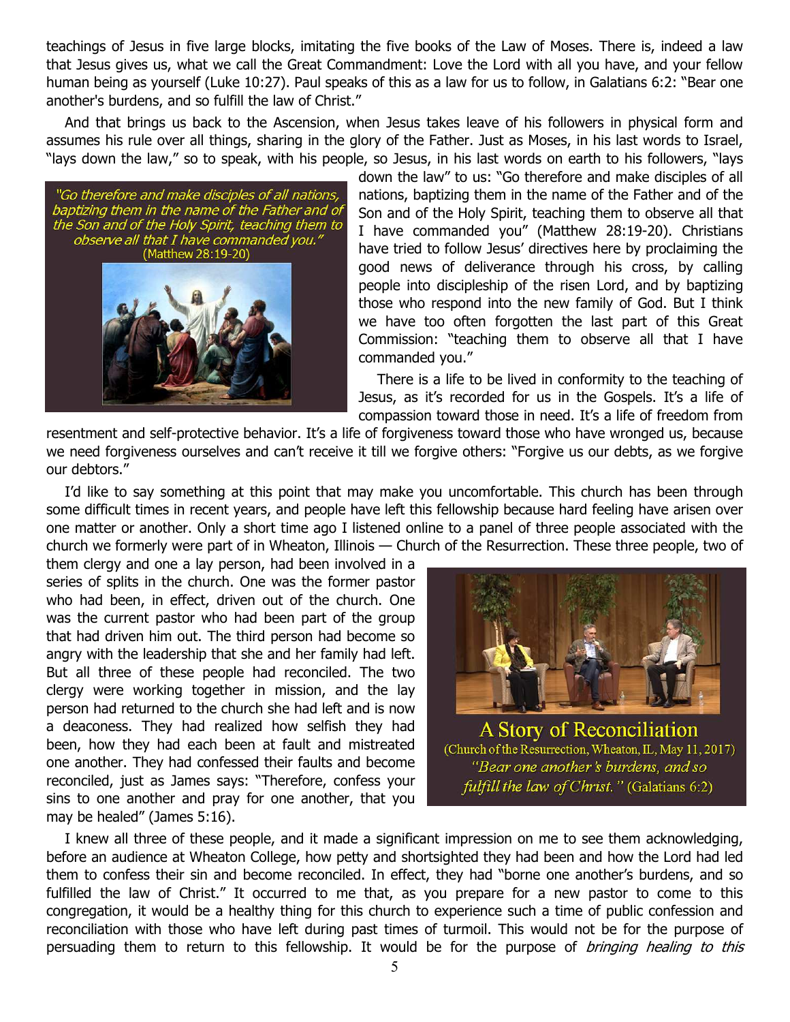teachings of Jesus in five large blocks, imitating the five books of the Law of Moses. There is, indeed a law that Jesus gives us, what we call the Great Commandment: Love the Lord with all you have, and your fellow human being as yourself (Luke 10:27). Paul speaks of this as a law for us to follow, in Galatians 6:2: "Bear one another's burdens, and so fulfill the law of Christ."

And that brings us back to the Ascension, when Jesus takes leave of his followers in physical form and assumes his rule over all things, sharing in the glory of the Father. Just as Moses, in his last words to Israel, "lays down the law," so to speak, with his people, so Jesus, in his last words on earth to his followers, "lays

"Go therefore and make disciples of all nations, baptizing them in the name of the Father and of<br>the Son and of the Holy Spirit, teaching them to observe all that I have commanded you.' (Matthew 28:19-20)

down the law" to us: "Go therefore and make disciples of all nations, baptizing them in the name of the Father and of the Son and of the Holy Spirit, teaching them to observe all that I have commanded you" (Matthew 28:19-20). Christians have tried to follow Jesus' directives here by proclaiming the good news of deliverance through his cross, by calling people into discipleship of the risen Lord, and by baptizing those who respond into the new family of God. But I think we have too often forgotten the last part of this Great Commission: "teaching them to observe all that I have commanded you."

There is a life to be lived in conformity to the teaching of Jesus, as it's recorded for us in the Gospels. It's a life of compassion toward those in need. It's a life of freedom from

resentment and self-protective behavior. It's a life of forgiveness toward those who have wronged us, because we need forgiveness ourselves and can't receive it till we forgive others: "Forgive us our debts, as we forgive our debtors."

I'd like to say something at this point that may make you uncomfortable. This church has been through some difficult times in recent years, and people have left this fellowship because hard feeling have arisen over one matter or another. Only a short time ago I listened online to a panel of three people associated with the church we formerly were part of in Wheaton, Illinois — Church of the Resurrection. These three people, two of

them clergy and one a lay person, had been involved in a series of splits in the church. One was the former pastor who had been, in effect, driven out of the church. One was the current pastor who had been part of the group that had driven him out. The third person had become so angry with the leadership that she and her family had left. But all three of these people had reconciled. The two clergy were working together in mission, and the lay person had returned to the church she had left and is now a deaconess. They had realized how selfish they had been, how they had each been at fault and mistreated one another. They had confessed their faults and become reconciled, just as James says: "Therefore, confess your sins to one another and pray for one another, that you may be healed" (James 5:16).



A Story of Reconciliation (Church of the Resurrection, Wheaton, IL, May 11, 2017) "Bear one another's burdens, and so fulfill the law of Christ." (Galatians 6:2)

I knew all three of these people, and it made a significant impression on me to see them acknowledging, before an audience at Wheaton College, how petty and shortsighted they had been and how the Lord had led them to confess their sin and become reconciled. In effect, they had "borne one another's burdens, and so fulfilled the law of Christ." It occurred to me that, as you prepare for a new pastor to come to this congregation, it would be a healthy thing for this church to experience such a time of public confession and reconciliation with those who have left during past times of turmoil. This would not be for the purpose of persuading them to return to this fellowship. It would be for the purpose of *bringing healing to this*